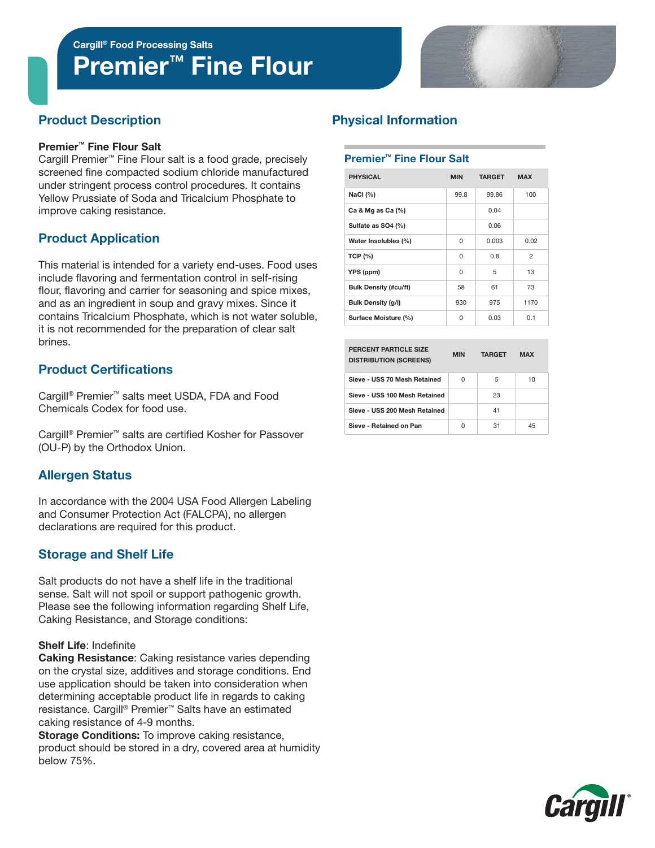Cargill® Food Processing Salts

# Premier<sup>™</sup> Fine Flour



# Product Description

#### Premier™ Fine Flour Salt

Cargill Premier™ Fine Flour salt is a food grade, precisely screened fine compacted sodium chloride manufactured under stringent process control procedures. It contains Yellow Prussiate of Soda and Tricalcium Phosphate to improve caking resistance.

# Product Application

This material is intended for a variety end-uses. Food uses include flavoring and fermentation control in self-rising flour, flavoring and carrier for seasoning and spice mixes, and as an ingredient in soup and gravy mixes. Since it contains Tricalcium Phosphate, which is not water soluble, it is not recommended for the preparation of clear salt brines.

# Product Certifications

Cargill® Premier™ salts meet USDA, FDA and Food Chemicals Codex for food use.

Cargill® Premier™ salts are certified Kosher for Passover (OU-P) by the Orthodox Union.

# Allergen Status

In accordance with the 2004 USA Food Allergen Labeling and Consumer Protection Act (FALCPA), no allergen declarations are required for this product.

# Storage and Shelf Life

Salt products do not have a shelf life in the traditional sense. Salt will not spoil or support pathogenic growth. Please see the following information regarding Shelf Life, Caking Resistance, and Storage conditions:

### Shelf Life: Indefinite

Caking Resistance: Caking resistance varies depending on the crystal size, additives and storage conditions. End use application should be taken into consideration when determining acceptable product life in regards to caking resistance. Cargill® Premier™ Salts have an estimated caking resistance of 4-9 months.

Storage Conditions: To improve caking resistance, product should be stored in a dry, covered area at humidity below 75%.

# Physical Information

### Premier™ Fine Flour Salt

| <b>PHYSICAL</b>              | <b>MIN</b> | <b>TARGET</b> | <b>MAX</b>     |  |
|------------------------------|------------|---------------|----------------|--|
| NaCl $(%)$                   | 99.8       | 99.86         | 100            |  |
| Ca & Mg as Ca $(%)$          |            | 0.04          |                |  |
| Sulfate as SO4 (%)           |            | 0.06          |                |  |
| Water Insolubles (%)         | $\Omega$   | 0.003         | 0.02           |  |
| <b>TCP (%)</b>               | $\Omega$   | 0.8           | $\mathfrak{p}$ |  |
| YPS (ppm)                    | 0          | 5             | 13             |  |
| <b>Bulk Density (#cu/ft)</b> | 58         | 61            | 73             |  |
| <b>Bulk Density (g/l)</b>    | 930        | 975           | 1170           |  |
| Surface Moisture (%)         | U          | 0.03          | 0.1            |  |

| PERCENT PARTICLE SIZE<br><b>DISTRIBUTION (SCREENS)</b> | <b>MIN</b> | <b>TARGET</b> | <b>MAX</b> |  |
|--------------------------------------------------------|------------|---------------|------------|--|
| Sieve - USS 70 Mesh Retained                           | U          | 5             | 10         |  |
| Sieve - USS 100 Mesh Retained                          |            | 23            |            |  |
| Sieve - USS 200 Mesh Retained                          |            | 41            |            |  |
| Sieve - Retained on Pan                                | U          | 31            | 45         |  |